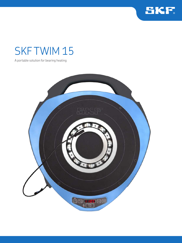

# SKF TWIM 15

A portable solution for bearing heating

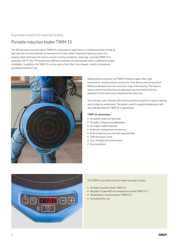## A portable solution for bearing heating

## Portable induction heater TWIM 15

The SKF portable induction heater TWIM 15 is designed for applications in maintenance jobs to heat up bearings that are mounted with an interference fit onto a shaft. Heating the bearing causes it to expand, which eliminates the need to use force during installation. Generally, using the TWIM 15 to generate a 90 °C *(162 °F)* temperature difference between the bearing and shaft is sufficient to enable installation. In addition, the TWIM 15 can be used to heat other ring-shaped, metallic components, providing flexibility of use.



Utilizing electrical power, the TWIM 15 features glass-fiber, hightemperature-resistant plastic construction that allows a low temperature difference between the inner and outer rings of the bearing. This helps to reduce internal tensions that are generated due to excessive thermal expansion of the inner ring compared to the outer ring.

The unit has a user-friendly LED control panel that requires no special training and is simple to understand. The panel is used to regulate temperature and also indicates that the TWIM 15 is operational.

### **TWIM 15 advantages:**

- Innovative heating of bearings
- Portable, compact and lightweight
- No support yokes required
- Automatic temperature monitoring
- Detects bearing size and heats appropriately
- Different power levels
- User-friendly LED control panel
- Quiet operation



The TWIM 15 portable induction heater package includes:

- Portable induction heater TWIM 15
- Magnetic K-type 400 mm temperature probe TWIM 15-3
- Temperature-resistant gloves TMBA G11
- Instructions for use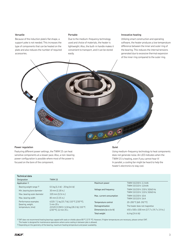#### **Versatile**

Because of the induction plate's flat shape, a support yoke is not needed. This increases the type of components that can be heated on the plate and also reduces the number of required accessories.

### **Portable**

Due to the medium-frequency technology used and choice of materials, the heater is lightweight. Also, the built-in handle makes it convenient to transport, and it can be stored easily.

#### **Innovative heating**

Utilizing smart construction and operating software, the heater produces a low temperature difference between the inner and outer ring of the bearing. This reduces the internal tensions generated due to excessive thermal expansion of the inner ring compared to the outer ring.



#### **Power regulation**

Featuring different power settings, the TWIM 15 can heat sensitive components at a slower pace. Also, a non-bearing power configuration is possible where most of the power is focused on the bore of the component.

#### **Quiet**

Using medium-frequency technology to heat components does not generate noise. An LED indicates when the TWIM 15 is heating, even if you cannot hear it! In parallel, a cooling fan might be heard to help the heater's electronics to stay cool.

| <b>Technical data</b>                                           |                                                                                                                                                 |                                                   |                                                                  |
|-----------------------------------------------------------------|-------------------------------------------------------------------------------------------------------------------------------------------------|---------------------------------------------------|------------------------------------------------------------------|
| Designation                                                     | <b>TWIM 15</b>                                                                                                                                  |                                                   |                                                                  |
| Application 1)                                                  |                                                                                                                                                 | Maximum power                                     | TWIM 15/230 V: 2.3 kVA                                           |
| Bearing weight range 2)                                         | $0,5$ kg $(1,1$ lb) - 20 kg $(44$ lb)                                                                                                           |                                                   | TWIM 15/110 V: 1.8 kVA                                           |
| Min. bearing bore diameter                                      | 30 mm (1.18 in.)                                                                                                                                | Voltage and frequency<br>Max. current consumption | TWIM 15/230 V: 230 V, 50/60 Hz<br>TWIM 15/110 V: 110 V. 50/60 Hz |
| Max. bearing outer diameter                                     | 320 mm $(12.6 \text{ in.})$                                                                                                                     |                                                   |                                                                  |
|                                                                 |                                                                                                                                                 |                                                   | TWIM 15/230 V: 10 A                                              |
| Max. bearing width                                              | 85 mm (3.35 in.)                                                                                                                                |                                                   | TWIM 15/110 V: 16 A                                              |
| Performance examples<br>(bearing, weight,<br>temperature, time) | 6320: 7,1 kg (15.7 lb), 110 °C (230 °F),<br>$5 \text{ min} 20 \text{ s}$<br>22320 CC/W33: 12,8 kg (28.2 lb), 110 °C<br>$(230 °F)$ , 12 min 35 s | Temperature control                               | 20-200 °C (68-392 °F)                                            |
|                                                                 |                                                                                                                                                 | Demagnetisation                                   | The heater does not magnetise                                    |
|                                                                 |                                                                                                                                                 | Dimensions ( $w \times d \times h$ )              | 450 x 500 x 100 mm (17.7 x 19.7 x 3.9 in.)                       |
|                                                                 |                                                                                                                                                 | <b>Total weight</b>                               | 6.6 kg $(14.6 \text{ lb})$                                       |

1) SKF does not recommend heating bearings capped with seals or shields above 80 °C *(175 °F).* However, if higher temperatures are necessary, please contact SKF. The heater is designed for maintenance operations where some cooling in between jobs is allowed. 2) Depending on the geometry of the bearing, maximum heating temperature and power availability.